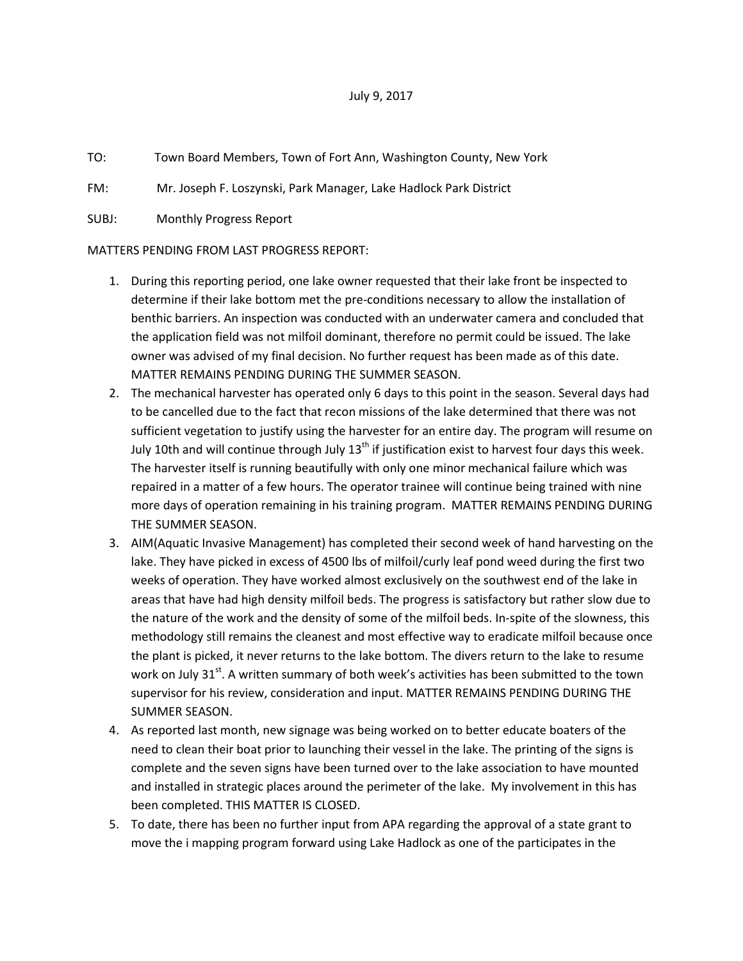## July 9, 2017

- TO: Town Board Members, Town of Fort Ann, Washington County, New York
- FM: Mr. Joseph F. Loszynski, Park Manager, Lake Hadlock Park District

SUBJ: Monthly Progress Report

## MATTERS PENDING FROM LAST PROGRESS REPORT:

- 1. During this reporting period, one lake owner requested that their lake front be inspected to determine if their lake bottom met the pre-conditions necessary to allow the installation of benthic barriers. An inspection was conducted with an underwater camera and concluded that the application field was not milfoil dominant, therefore no permit could be issued. The lake owner was advised of my final decision. No further request has been made as of this date. MATTER REMAINS PENDING DURING THE SUMMER SEASON.
- 2. The mechanical harvester has operated only 6 days to this point in the season. Several days had to be cancelled due to the fact that recon missions of the lake determined that there was not sufficient vegetation to justify using the harvester for an entire day. The program will resume on July 10th and will continue through July 13<sup>th</sup> if justification exist to harvest four days this week. The harvester itself is running beautifully with only one minor mechanical failure which was repaired in a matter of a few hours. The operator trainee will continue being trained with nine more days of operation remaining in his training program. MATTER REMAINS PENDING DURING THE SUMMER SEASON.
- 3. AIM(Aquatic Invasive Management) has completed their second week of hand harvesting on the lake. They have picked in excess of 4500 lbs of milfoil/curly leaf pond weed during the first two weeks of operation. They have worked almost exclusively on the southwest end of the lake in areas that have had high density milfoil beds. The progress is satisfactory but rather slow due to the nature of the work and the density of some of the milfoil beds. In-spite of the slowness, this methodology still remains the cleanest and most effective way to eradicate milfoil because once the plant is picked, it never returns to the lake bottom. The divers return to the lake to resume work on July 31<sup>st</sup>. A written summary of both week's activities has been submitted to the town supervisor for his review, consideration and input. MATTER REMAINS PENDING DURING THE SUMMER SEASON.
- 4. As reported last month, new signage was being worked on to better educate boaters of the need to clean their boat prior to launching their vessel in the lake. The printing of the signs is complete and the seven signs have been turned over to the lake association to have mounted and installed in strategic places around the perimeter of the lake. My involvement in this has been completed. THIS MATTER IS CLOSED.
- 5. To date, there has been no further input from APA regarding the approval of a state grant to move the i mapping program forward using Lake Hadlock as one of the participates in the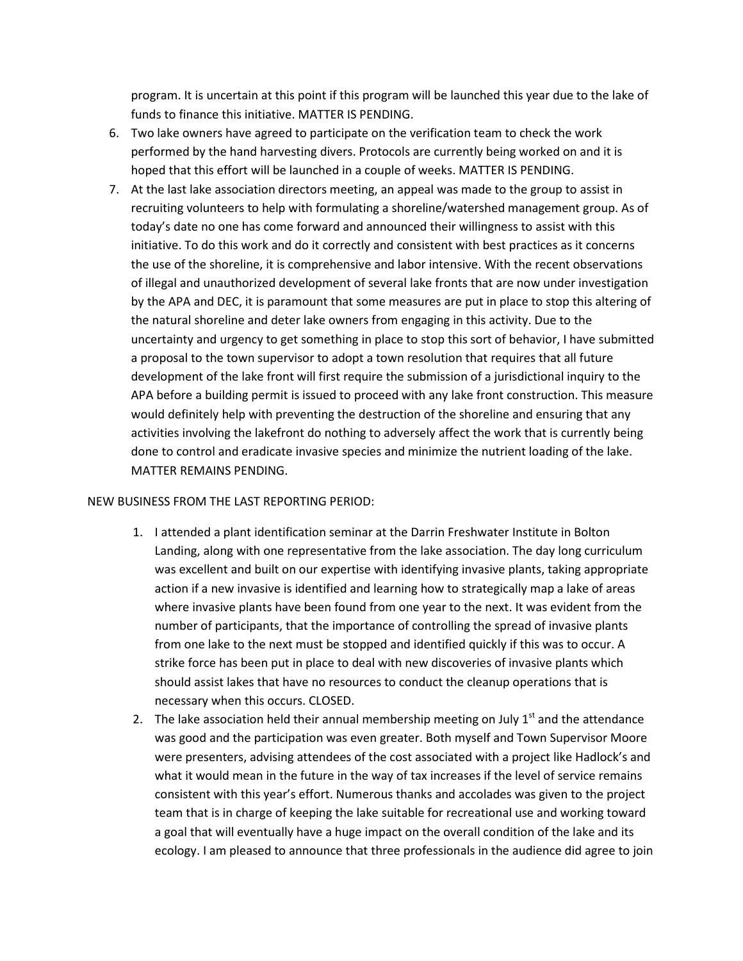program. It is uncertain at this point if this program will be launched this year due to the lake of funds to finance this initiative. MATTER IS PENDING.

- 6. Two lake owners have agreed to participate on the verification team to check the work performed by the hand harvesting divers. Protocols are currently being worked on and it is hoped that this effort will be launched in a couple of weeks. MATTER IS PENDING.
- 7. At the last lake association directors meeting, an appeal was made to the group to assist in recruiting volunteers to help with formulating a shoreline/watershed management group. As of today's date no one has come forward and announced their willingness to assist with this initiative. To do this work and do it correctly and consistent with best practices as it concerns the use of the shoreline, it is comprehensive and labor intensive. With the recent observations of illegal and unauthorized development of several lake fronts that are now under investigation by the APA and DEC, it is paramount that some measures are put in place to stop this altering of the natural shoreline and deter lake owners from engaging in this activity. Due to the uncertainty and urgency to get something in place to stop this sort of behavior, I have submitted a proposal to the town supervisor to adopt a town resolution that requires that all future development of the lake front will first require the submission of a jurisdictional inquiry to the APA before a building permit is issued to proceed with any lake front construction. This measure would definitely help with preventing the destruction of the shoreline and ensuring that any activities involving the lakefront do nothing to adversely affect the work that is currently being done to control and eradicate invasive species and minimize the nutrient loading of the lake. MATTER REMAINS PENDING.

## NEW BUSINESS FROM THE LAST REPORTING PERIOD:

- 1. I attended a plant identification seminar at the Darrin Freshwater Institute in Bolton Landing, along with one representative from the lake association. The day long curriculum was excellent and built on our expertise with identifying invasive plants, taking appropriate action if a new invasive is identified and learning how to strategically map a lake of areas where invasive plants have been found from one year to the next. It was evident from the number of participants, that the importance of controlling the spread of invasive plants from one lake to the next must be stopped and identified quickly if this was to occur. A strike force has been put in place to deal with new discoveries of invasive plants which should assist lakes that have no resources to conduct the cleanup operations that is necessary when this occurs. CLOSED.
- 2. The lake association held their annual membership meeting on July  $1<sup>st</sup>$  and the attendance was good and the participation was even greater. Both myself and Town Supervisor Moore were presenters, advising attendees of the cost associated with a project like Hadlock's and what it would mean in the future in the way of tax increases if the level of service remains consistent with this year's effort. Numerous thanks and accolades was given to the project team that is in charge of keeping the lake suitable for recreational use and working toward a goal that will eventually have a huge impact on the overall condition of the lake and its ecology. I am pleased to announce that three professionals in the audience did agree to join